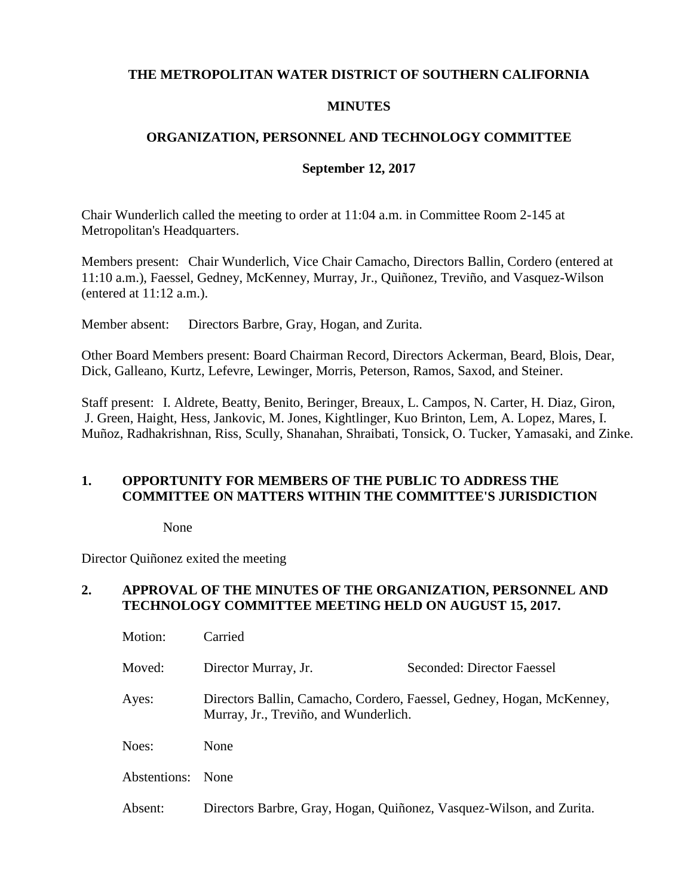### **THE METROPOLITAN WATER DISTRICT OF SOUTHERN CALIFORNIA**

### **MINUTES**

### **ORGANIZATION, PERSONNEL AND TECHNOLOGY COMMITTEE**

#### **September 12, 2017**

Chair Wunderlich called the meeting to order at 11:04 a.m. in Committee Room 2-145 at Metropolitan's Headquarters.

Members present: Chair Wunderlich, Vice Chair Camacho, Directors Ballin, Cordero (entered at 11:10 a.m.), Faessel, Gedney, McKenney, Murray, Jr., Quiñonez, Treviño, and Vasquez-Wilson (entered at 11:12 a.m.).

Member absent: Directors Barbre, Gray, Hogan, and Zurita.

Other Board Members present: Board Chairman Record, Directors Ackerman, Beard, Blois, Dear, Dick, Galleano, Kurtz, Lefevre, Lewinger, Morris, Peterson, Ramos, Saxod, and Steiner.

Staff present: I. Aldrete, Beatty, Benito, Beringer, Breaux, L. Campos, N. Carter, H. Diaz, Giron, J. Green, Haight, Hess, Jankovic, M. Jones, Kightlinger, Kuo Brinton, Lem, A. Lopez, Mares, I. Muñoz, Radhakrishnan, Riss, Scully, Shanahan, Shraibati, Tonsick, O. Tucker, Yamasaki, and Zinke.

### **1. OPPORTUNITY FOR MEMBERS OF THE PUBLIC TO ADDRESS THE COMMITTEE ON MATTERS WITHIN THE COMMITTEE'S JURISDICTION**

None

Director Quiñonez exited the meeting

#### **2. APPROVAL OF THE MINUTES OF THE ORGANIZATION, PERSONNEL AND TECHNOLOGY COMMITTEE MEETING HELD ON AUGUST 15, 2017.**

| Motion:      | Carried                                                                                                        |                            |  |
|--------------|----------------------------------------------------------------------------------------------------------------|----------------------------|--|
| Moved:       | Director Murray, Jr.                                                                                           | Seconded: Director Faessel |  |
| Ayes:        | Directors Ballin, Camacho, Cordero, Faessel, Gedney, Hogan, McKenney,<br>Murray, Jr., Treviño, and Wunderlich. |                            |  |
| Noes:        | None                                                                                                           |                            |  |
| Abstentions: | None                                                                                                           |                            |  |
| Absent:      | Directors Barbre, Gray, Hogan, Quiñonez, Vasquez-Wilson, and Zurita.                                           |                            |  |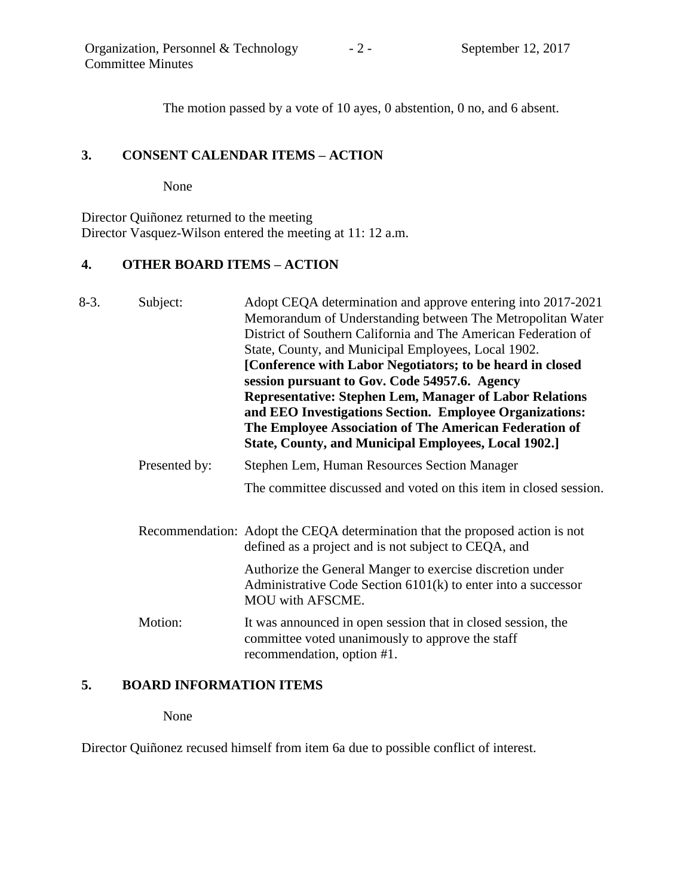The motion passed by a vote of 10 ayes, 0 abstention, 0 no, and 6 absent.

## **3. CONSENT CALENDAR ITEMS – ACTION**

None

Director Quiñonez returned to the meeting Director Vasquez-Wilson entered the meeting at 11: 12 a.m.

# **4. OTHER BOARD ITEMS – ACTION**

| $8-3.$ | Subject:      | Adopt CEQA determination and approve entering into 2017-2021<br>Memorandum of Understanding between The Metropolitan Water<br>District of Southern California and The American Federation of<br>State, County, and Municipal Employees, Local 1902.<br>[Conference with Labor Negotiators; to be heard in closed<br>session pursuant to Gov. Code 54957.6. Agency<br><b>Representative: Stephen Lem, Manager of Labor Relations</b><br>and EEO Investigations Section. Employee Organizations:<br>The Employee Association of The American Federation of<br><b>State, County, and Municipal Employees, Local 1902.]</b> |
|--------|---------------|-------------------------------------------------------------------------------------------------------------------------------------------------------------------------------------------------------------------------------------------------------------------------------------------------------------------------------------------------------------------------------------------------------------------------------------------------------------------------------------------------------------------------------------------------------------------------------------------------------------------------|
|        | Presented by: | Stephen Lem, Human Resources Section Manager                                                                                                                                                                                                                                                                                                                                                                                                                                                                                                                                                                            |
|        |               | The committee discussed and voted on this item in closed session.                                                                                                                                                                                                                                                                                                                                                                                                                                                                                                                                                       |
|        |               | Recommendation: Adopt the CEQA determination that the proposed action is not<br>defined as a project and is not subject to CEQA, and                                                                                                                                                                                                                                                                                                                                                                                                                                                                                    |
|        |               | Authorize the General Manger to exercise discretion under<br>Administrative Code Section $6101(k)$ to enter into a successor<br><b>MOU</b> with AFSCME.                                                                                                                                                                                                                                                                                                                                                                                                                                                                 |
|        | Motion:       | It was announced in open session that in closed session, the<br>committee voted unanimously to approve the staff<br>recommendation, option #1.                                                                                                                                                                                                                                                                                                                                                                                                                                                                          |

### **5. BOARD INFORMATION ITEMS**

None

Director Quiñonez recused himself from item 6a due to possible conflict of interest.